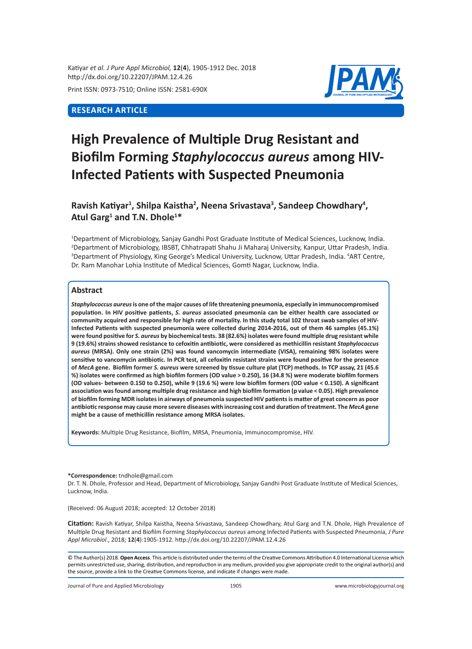Katiyar *et al. J Pure Appl Microbiol,* **12**(**4**), 1905-1912 Dec. 2018 http://dx.doi.org/10.22207/JPAM.12.4.26

Print ISSN: 0973-7510; Online ISSN: 2581-690X

# **RESEARCH ARTICLE**



# **High Prevalence of Multiple Drug Resistant and Biofilm Forming** *Staphylococcus aureus* **among HIV-Infected Patients with Suspected Pneumonia**

Ravish Katiyar<sup>1</sup>, Shilpa Kaistha<sup>2</sup>, Neena Srivastava<sup>3</sup>, Sandeep Chowdhary<sup>4</sup>, **Atul Garg1 and T.N. Dhole<sup>1</sup> \***

1 Department of Microbiology, Sanjay Gandhi Post Graduate Institute of Medical Sciences, Lucknow, India. 2 Department of Microbiology, IBSBT, Chhatrapati Shahu Ji Maharaj University, Kanpur, Uttar Pradesh, India. <sup>3</sup>Department of Physiology, King George's Medical University, Lucknow, Uttar Pradesh, India. <sup>4</sup>ART Centre, Dr. Ram Manohar Lohia Institute of Medical Sciences, Gomti Nagar, Lucknow, India.

## **Abstract**

*Staphylococcus aureus* **is one of the major causes of life threatening pneumonia, especially in immunocompromised population. In HIV positive patients,** *S. aureus* **associated pneumonia can be either health care associated or community acquired and responsible for high rate of mortality. In this study total 102 throat swab samples of HIV-Infected Patients with suspected pneumonia were collected during 2014-2016, out of them 46 samples (45.1%) were found positive for** *S. aureus* **by biochemical tests. 38 (82.6%) isolates were found multiple drug resistant while 9 (19.6%) strains showed resistance to cefoxitin antibiotic, were considered as methicillin resistant** *Staphylococcus aureus* **(MRSA). Only one strain (2%) was found vancomycin intermediate (VISA), remaining 98% isolates were sensitive to vancomycin antibiotic. In PCR test, all cefoxitin resistant strains were found positive for the presence of** *MecA* **gene. Biofilm former** *S. aureus* **were screened by tissue culture plat (TCP) methods. In TCP assay, 21 (45.6 %) isolates were confirmed as high biofilm formers (OD value > 0.250), 16 (34.8 %) were moderate biofilm formers (OD values- between 0.150 to 0.250), while 9 (19.6 %) were low biofilm formers (OD value < 0.150). A significant association was found among multiple drug resistance and high biofilm formation (p value < 0.05). High prevalence of biofilm forming MDR isolates in airways of pneumonia suspected HIV patientsis matter of great concern as poor antibiotic response may cause more severe diseases with increasing cost and duration of treatment. The** *MecA* **gene might be a cause of methicillin resistance among MRSA isolates.**

**Keywords:** Multiple Drug Resistance, Biofilm, MRSA, Pneumonia, Immunocompromise, HIV.

#### **\*Correspondence:** tndhole@gmail.com

Dr. T. N. Dhole, Professor and Head, Department of Microbiology, Sanjay Gandhi Post Graduate Institute of Medical Sciences, Lucknow, India.

(Received: 06 August 2018; accepted: 12 October 2018)

**Citation:** Ravish Katiyar, Shilpa Kaistha, Neena Srivastava, Sandeep Chowdhary, Atul Garg and T.N. Dhole, High Prevalence of Multiple Drug Resistant and Biofilm Forming *Staphylococcus aureus* among Infected Patients with Suspected Pneumonia, *J Pure Appl Microbiol*., 2018; **12**(**4**):1905-1912. http://dx.doi.org/10.22207/JPAM.12.4.26

© The Author(s) 2018. **Open Access**. This article is distributed under the terms of the Creative Commons Attribution 4.0 International License which permits unrestricted use, sharing, distribution, and reproduction in any medium, provided you give appropriate credit to the original author(s) and the source, provide a link to the Creative Commons license, and indicate if changes were made.

Journal of Pure and Applied Microbiology 1905 www.microbiologyjournal.org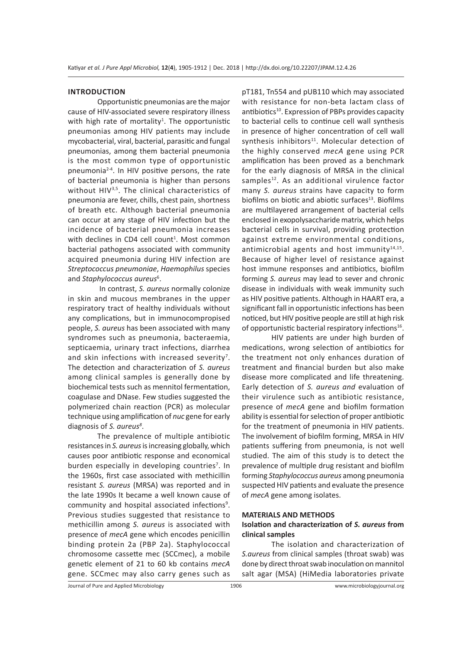#### **INTRODUCTION**

Opportunistic pneumonias are the major cause of HIV-associated severe respiratory illness with high rate of mortality<sup>1</sup>. The opportunistic pneumonias among HIV patients may include mycobacterial, viral, bacterial, parasitic and fungal pneumonias, among them bacterial pneumonia is the most common type of opportunistic pneumonia2-4. In HIV positive persons, the rate of bacterial pneumonia is higher than persons without HIV<sup>3,5</sup>. The clinical characteristics of pneumonia are fever, chills, chest pain, shortness of breath etc. Although bacterial pneumonia can occur at any stage of HIV infection but the incidence of bacterial pneumonia increases with declines in CD4 cell count<sup>1</sup>. Most common bacterial pathogens associated with community acquired pneumonia during HIV infection are *Streptococcus pneumoniae*, *Haemophilus* species and *Staphylococcus aureus*<sup>6</sup> .

 In contrast, *S. aureus* normally colonize in skin and mucous membranes in the upper respiratory tract of healthy individuals without any complications, but in immunocompropised people, *S. aureus* has been associated with many syndromes such as pneumonia, bacteraemia, septicaemia, urinary tract infections, diarrhea and skin infections with increased severity<sup>7</sup>. The detection and characterization of *S. aureus* among clinical samples is generally done by biochemical tests such as mennitol fermentation, coagulase and DNase. Few studies suggested the polymerized chain reaction (PCR) as molecular technique using amplification of *nuc* gene for early diagnosis of S. aureus<sup>8</sup>.

The prevalence of multiple antibiotic resistances in *S. aureus* is increasing globally, which causes poor antibiotic response and economical burden especially in developing countries<sup>7</sup>. In the 1960s, first case associated with methicillin resistant *S. aureus* (MRSA) was reported and in the late 1990s It became a well known cause of community and hospital associated infections<sup>9</sup>. Previous studies suggested that resistance to methicillin among *S. aureus* is associated with presence of *mecA* gene which encodes penicillin binding protein 2a (PBP 2a). Staphylococcal chromosome cassette mec (SCCmec), a mobile genetic element of 21 to 60 kb contains *mecA* gene. SCCmec may also carry genes such as

pT181, Tn554 and pUB110 which may associated with resistance for non-beta lactam class of antibiotics<sup>10</sup>. Expression of PBPs provides capacity to bacterial cells to continue cell wall synthesis in presence of higher concentration of cell wall synthesis inhibitors<sup>11</sup>. Molecular detection of the highly conserved *mecA* gene using PCR amplification has been proved as a benchmark for the early diagnosis of MRSA in the clinical samples<sup>12</sup>. As an additional virulence factor many *S. aureus* strains have capacity to form biofilms on biotic and abiotic surfaces<sup>13</sup>. Biofilms are multilayered arrangement of bacterial cells enclosed in exopolysaccharide matrix, which helps bacterial cells in survival, providing protection against extreme environmental conditions, antimicrobial agents and host immunity $14,15$ . Because of higher level of resistance against host immune responses and antibiotics, biofilm forming *S. aureus* may lead to sever and chronic disease in individuals with weak immunity such as HIV positive patients. Although in HAART era, a significant fall in opportunistic infections has been noticed, but HIV positive people are still at high risk of opportunistic bacterial respiratory infections<sup>16</sup>.

HIV patients are under high burden of medications, wrong selection of antibiotics for the treatment not only enhances duration of treatment and financial burden but also make disease more complicated and life threatening. Early detection of *S. aureus and* evaluation of their virulence such as antibiotic resistance, presence of *mecA* gene and biofilm formation ability is essential for selection of proper antibiotic for the treatment of pneumonia in HIV patients. The involvement of biofilm forming, MRSA in HIV patients suffering from pneumonia, is not well studied. The aim of this study is to detect the prevalence of multiple drug resistant and biofilm forming *Staphylococcus aureus* among pneumonia suspected HIV patients and evaluate the presence of *mecA* gene among isolates.

### **MATERIALS AND METHODS**

## **Isolation and characterization of** *S. aureus* **from clinical samples**

The isolation and characterization of *S.aureus* from clinical samples (throat swab) was done by direct throat swab inoculation on mannitol salt agar (MSA) (HiMedia laboratories private

Journal of Pure and Applied Microbiology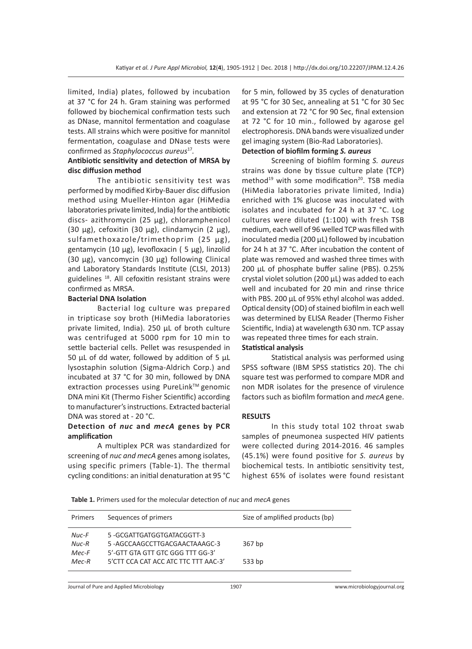limited, India) plates, followed by incubation at 37 °C for 24 h. Gram staining was performed followed by biochemical confirmation tests such as DNase, mannitol fermentation and coagulase tests. All strains which were positive for mannitol fermentation, coagulase and DNase tests were confirmed as *Staphylococcus aureus*17*.* 

## **Antibiotic sensitivity and detection of MRSA by disc diffusion method**

The antibiotic sensitivity test was performed by modified Kirby-Bauer disc diffusion method using Mueller-Hinton agar (HiMedia laboratories private limited, India) for the antibiotic discs- azithromycin (25 μg), chloramphenicol (30  $\mu$ g), cefoxitin (30  $\mu$ g), clindamycin (2  $\mu$ g), sulfamethoxazole/trimethoprim (25 µg), gentamycin (10 µg), levofloxacin ( 5 µg), linzolid (30 µg), vancomycin (30 µg) following Clinical and Laboratory Standards Institute (CLSI, 2013) guidelines<sup>18</sup>. All cefoxitin resistant strains were confirmed as MRSA.

### **Bacterial DNA Isolation**

Bacterial log culture was prepared in tripticase soy broth (HiMedia laboratories private limited, India). 250 µL of broth culture was centrifuged at 5000 rpm for 10 min to settle bacterial cells. Pellet was resuspended in 50  $\mu$ L of dd water, followed by addition of 5  $\mu$ L lysostaphin solution (Sigma-Aldrich Corp.) and incubated at 37 °C for 30 min, followed by DNA extraction processes using PureLink™ genomic DNA mini Kit (Thermo Fisher Scientific) according to manufacturer's instructions. Extracted bacterial DNA was stored at - 20 °C.

## **Detection of** *nuc* **and** *mecA* **genes by PCR amplification**

A multiplex PCR was standardized for screening of *nuc and mecA* genes among isolates, using specific primers (Table-1). The thermal cycling conditions: an initial denaturation at 95 °C for 5 min, followed by 35 cycles of denaturation at 95 °C for 30 Sec, annealing at 51 °C for 30 Sec and extension at 72 °C for 90 Sec, final extension at 72 °C for 10 min., followed by agarose gel electrophoresis. DNA bands were visualized under gel imaging system (Bio-Rad Laboratories).

## **Detection of biofilm forming** *S. aureus*

Screening of biofilm forming *S. aureus* strains was done by tissue culture plate (TCP) method<sup>19</sup> with some modification<sup>20</sup>. TSB media (HiMedia laboratories private limited, India) enriched with 1% glucose was inoculated with isolates and incubated for 24 h at 37 °C. Log cultures were diluted (1:100) with fresh TSB medium, each well of 96 welled TCP was filled with inoculated media (200  $\mu$ L) followed by incubation for 24 h at 37 °C. After incubation the content of plate was removed and washed three times with 200 µL of phosphate buffer saline (PBS). 0.25% crystal violet solution (200 µL) was added to each well and incubated for 20 min and rinse thrice with PBS. 200 µL of 95% ethyl alcohol was added. Optical density (OD) of stained biofilm in each well was determined by ELISA Reader (Thermo Fisher Scientific, India) at wavelength 630 nm. TCP assay was repeated three times for each strain.

### **Statistical analysis**

Statistical analysis was performed using SPSS software (IBM SPSS statistics 20). The chi square test was performed to compare MDR and non MDR isolates for the presence of virulence factors such as biofilm formation and *mecA* gene.

### **RESULTS**

In this study total 102 throat swab samples of pneumonea suspected HIV patients were collected during 2014-2016. 46 samples (45.1%) were found positive for *S. aureus* by biochemical tests. In antibiotic sensitivity test, highest 65% of isolates were found resistant

**Table 1.** Primers used for the molecular detection of *nuc* and *mecA* genes

| Primers                   | Sequences of primers                                                                          | Size of amplified products (bp) |
|---------------------------|-----------------------------------------------------------------------------------------------|---------------------------------|
| Nuc-F<br>$Nuc-R$<br>Mec-F | 5-GCGATTGATGGTGATACGGTT-3<br>5-AGCCAAGCCTTGACGAACTAAAGC-3<br>5'-GTT GTA GTT GTC GGG TTT GG-3' | 367 bp                          |
| $Mec-R$                   | 5'CTT CCA CAT ACC ATC TTC TTT AAC-3'                                                          | 533 bp                          |

Journal of Pure and Applied Microbiology 1907 www.microbiologyjournal.org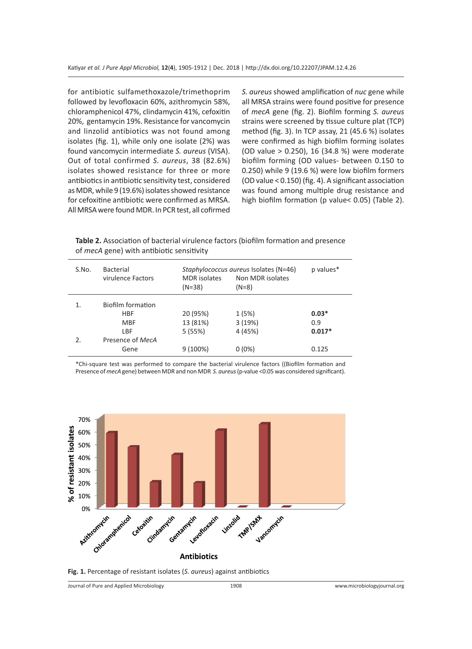for antibiotic sulfamethoxazole/trimethoprim followed by levofloxacin 60%, azithromycin 58%, chloramphenicol 47%, clindamycin 41%, cefoxitin 20%, gentamycin 19%. Resistance for vancomycin and linzolid antibiotics was not found among isolates (fig. 1), while only one isolate (2%) was found vancomycin intermediate *S. aureus* (VISA). Out of total confirmed *S. aureus*, 38 (82.6%) isolates showed resistance for three or more antibiotics in antibiotic sensitivity test, considered as MDR, while 9 (19.6%) isolates showed resistance for cefoxitine antibiotic were confirmed as MRSA. All MRSA were found MDR. In PCR test, all cofirmed *S. aureus* showed amplification of *nuc* gene while all MRSA strains were found positive for presence of *mecA* gene (fig. 2). Biofilm forming *S. aureus* strains were screened by tissue culture plat (TCP) method (fig. 3). In TCP assay, 21 (45.6 %) isolates were confirmed as high biofilm forming isolates (OD value > 0.250), 16 (34.8 %) were moderate biofilm forming (OD values- between 0.150 to 0.250) while 9 (19.6 %) were low biofilm formers (OD value < 0.150) (fig. 4). A significant association was found among multiple drug resistance and high biofilm formation (p value< 0.05) (Table 2).

**Table 2.** Association of bacterial virulence factors (biofilm formation and presence of *mecA* gene) with antibiotic sensitivity

| S.No. | <b>Bacterial</b><br>virulence Factors | <b>MDR</b> isolates<br>(N=38) | Staphylococcus aureus Isolates (N=46)<br>Non MDR isolates<br>$(N=8)$ | p values* |
|-------|---------------------------------------|-------------------------------|----------------------------------------------------------------------|-----------|
| 1.    | Biofilm formation                     |                               |                                                                      |           |
|       | HBF                                   | 20 (95%)                      | 1 (5%)                                                               | $0.03*$   |
|       | MBF                                   | 13 (81%)                      | 3(19%)                                                               | 0.9       |
|       | LBF                                   | 5(55%)                        | 4 (45%)                                                              | $0.017*$  |
| 2.    | Presence of MecA                      |                               |                                                                      |           |
|       | Gene                                  | $9(100\%)$                    | $0(0\%)$                                                             | 0.125     |

\*Chi-square test was performed to compare the bacterial virulence factors ((Biofilm formation and Presence of *mecA* gene) between MDR and non MDR *S. aureus* (p-value <0.05 was considered significant).



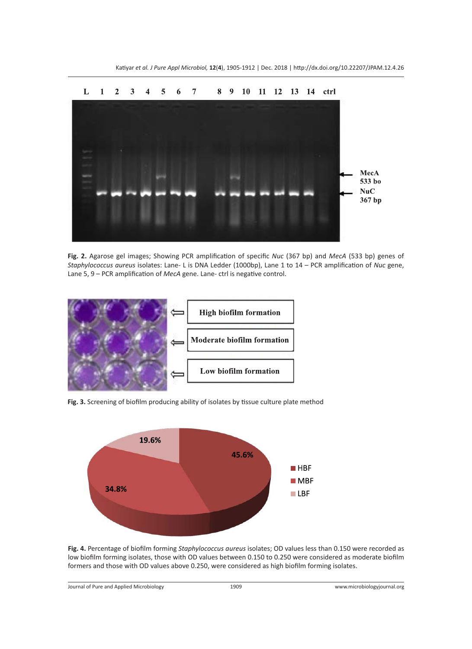

Katiyar *et al. J Pure Appl Microbiol,* **12**(**4**), 1905-1912 | Dec. 2018 | http://dx.doi.org/10.22207/JPAM.12.4.26

**Fig. 2.** Agarose gel images; Showing PCR amplification of specific *Nuc* (367 bp) and *MecA* (533 bp) genes of *Staphylococcus aureus* isolates: Lane- L is DNA Ledder (1000bp), Lane 1 to 14 – PCR amplification of *Nuc* gene, Lane 5, 9 – PCR amplification of *MecA* gene. Lane- ctrl is negative control.



**Fig. 3.** Screening of biofilm producing ability of isolates by tissue culture plate method



**Fig. 4.** Percentage of biofilm forming *Staphylococcus aureus* isolates; OD values less than 0.150 were recorded as low biofilm forming isolates, those with OD values between 0.150 to 0.250 were considered as moderate biofilm formers and those with OD values above 0.250, were considered as high biofilm forming isolates.

Journal of Pure and Applied Microbiology 1909 www.microbiologyjournal.org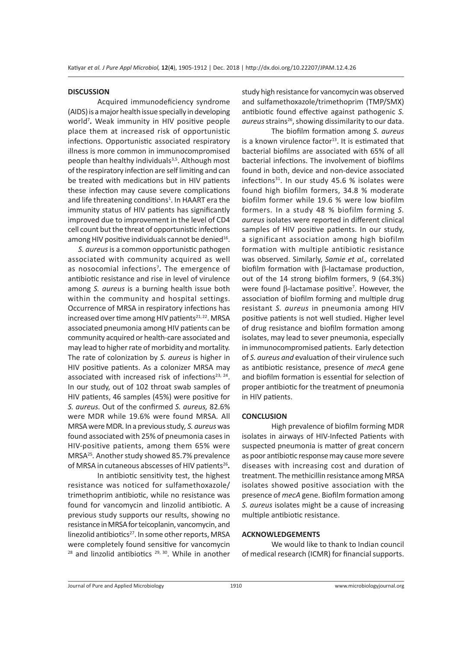#### **DISCUSSION**

Acquired immunodeficiency syndrome (AIDS) is a major health issue specially in developing world<sup>7</sup> *.* Weak immunity in HIV positive people place them at increased risk of opportunistic infections. Opportunistic associated respiratory illness is more common in immunocompromised people than healthy individuals<sup>3,5</sup>. Although most of the respiratory infection are self limiting and can be treated with medications but in HIV patients these infection may cause severe complications and life threatening conditions<sup>1</sup>. In HAART era the immunity status of HIV patients has significantly improved due to improvement in the level of CD4 cell count but the threat of opportunistic infections among HIV positive individuals cannot be denied<sup>16</sup>.

 *S. aureus* is a common opportunistic pathogen associated with community acquired as well as nosocomial infections<sup>7</sup> *.* The emergence of antibiotic resistance and rise in level of virulence among *S. aureus* is a burning health issue both within the community and hospital settings. Occurrence of MRSA in respiratory infections has increased over time among HIV patients $21,22$ . MRSA associated pneumonia among HIV patients can be community acquired or health-care associated and may lead to higher rate of morbidity and mortality. The rate of colonization by *S. aureus* is higher in HIV positive patients. As a colonizer MRSA may associated with increased risk of infections<sup>23, 24</sup>. In our study, out of 102 throat swab samples of HIV patients, 46 samples (45%) were positive for *S. aureus.* Out of the confirmed *S. aureus,* 82.6% were MDR while 19.6% were found MRSA*.* All MRSA were MDR*.* In a previous study*, S. aureus* was found associated with 25% of pneumonia cases in HIV-positive patients, among them 65% were MRSA25*.* Another study showed 85.7% prevalence of MRSA in cutaneous abscesses of HIV patients<sup>26</sup>.

In antibiotic sensitivity test, the highest resistance was noticed for sulfamethoxazole/ trimethoprim antibiotic, while no resistance was found for vancomycin and linzolid antibiotic. A previous study supports our results, showing no resistance in MRSA for teicoplanin, vancomycin, and linezolid antibiotics $^{27}$ . In some other reports, MRSA were completely found sensitive for vancomycin <sup>28</sup> and linzolid antibiotics<sup>29, 30</sup>. While in another study high resistance for vancomycin was observed and sulfamethoxazole/trimethoprim (TMP/SMX) antibiotic found effective against pathogenic *S.*  aureus strains<sup>26</sup>, showing dissimilarity to our data.

The biofilm formation among *S. aureus* is a known virulence factor $13$ . It is estimated that bacterial biofilms are associated with 65% of all bacterial infections. The involvement of biofilms found in both, device and non-device associated infections $31$ . In our study 45.6 % isolates were found high biofilm formers, 34.8 % moderate biofilm former while 19.6 % were low biofilm formers. In a study 48 % biofilm forming *S. aureus* isolates were reported in different clinical samples of HIV positive patients. In our study, a significant association among high biofilm formation with multiple antibiotic resistance was observed. Similarly, *Samie et al.,* correlated biofilm formation with  $\beta$ -lactamase production, out of the 14 strong biofilm formers, 9 (64.3%) were found  $\beta$ -lactamase positive<sup>7</sup>. However, the association of biofilm forming and multiple drug resistant *S. aureus* in pneumonia among HIV positive patients is not well studied. Higher level of drug resistance and biofilm formation among isolates, may lead to sever pneumonia, especially in immunocompromised patients. Early detection of *S. aureus and* evaluation of their virulence such as antibiotic resistance, presence of *mecA* gene and biofilm formation is essential for selection of proper antibiotic for the treatment of pneumonia in HIV patients.

#### **CONCLUSION**

High prevalence of biofilm forming MDR isolates in airways of HIV-Infected Patients with suspected pneumonia is matter of great concern as poor antibiotic response may cause more severe diseases with increasing cost and duration of treatment. The methicillin resistance among MRSA isolates showed positive association with the presence of *mecA* gene. Biofilm formation among *S. aureus* isolates might be a cause of increasing multiple antibiotic resistance.

#### **ACKNOWLEDGEMENTS**

We would like to thank to Indian council of medical research (ICMR) for financial supports.

Journal of Pure and Applied Microbiology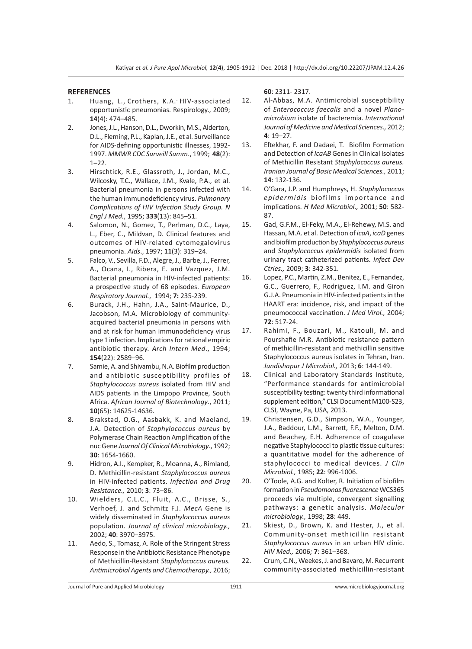#### **REFERENCES**

- 1. Huang, L., Crothers, K.A.. HIV-associated opportunistic pneumonias. Respirology., 2009; **14**(4): 474–485.
- 2. Jones, J.L., Hanson, D.L., Dworkin, M.S., Alderton, D.L., Fleming, P.L., Kaplan, J.E., et al. Surveillance for AIDS-defining opportunistic illnesses, 1992- 1997. *MMWR CDC Surveill Summ*., 1999; **48**(2): 1–22.
- 3. Hirschtick, R.E., Glassroth, J., Jordan, M.C., Wilcosky, T.C., Wallace, J.M., Kvale, P.A., et al. Bacterial pneumonia in persons infected with the human immunodeficiency virus. *Pulmonary Complications of HIV Infection Study Group. N Engl J Med.*, 1995; **333**(13): 845–51.
- 4. Salomon, N., Gomez, T., Perlman, D.C., Laya, L., Eber, C., Mildvan, D. Clinical features and outcomes of HIV-related cytomegalovirus pneumonia. *Aids*., 1997; **11**(3): 319–24.
- 5. Falco, V., Sevilla, F.D., Alegre, J., Barbe, J., Ferrer, A., Ocana, I., Ribera, E. and Vazquez, J.M. Bacterial pneumonia in HIV-infected patients: a prospective study of 68 episodes. *European Respiratory Journal.*, 1994; **7:** 235-239.
- 6. Burack, J.H., Hahn, J.A., Saint-Maurice, D., Jacobson, M.A. Microbiology of communityacquired bacterial pneumonia in persons with and at risk for human immunodeficiency virus type 1 infection. Implications for rational empiric antibiotic therapy. *Arch Intern Med*., 1994; **154**(22): 2589–96.
- 7. Samie, A. and Shivambu, N.A. Biofilm production and antibiotic susceptibility profiles of *Staphylococcus aureus* isolated from HIV and AIDS patients in the Limpopo Province, South Africa. *African Journal of Biotechnology*., 2011; **10**(65): 14625-14636.
- 8. Brakstad, O.G., Aasbakk, K. and Maeland, J.A. Detection of *Staphylococcus aureus* by Polymerase Chain Reaction Amplification of the nuc Gene *Journal Of Clinical Microbiology*., 1992; **30**: 1654-1660.
- 9. Hidron, A.I., Kempker, R., Moanna, A., Rimland, D. Methicillin-resistant *Staphylococcus aureus*  in HIV-infected patients. *Infection and Drug Resistance.,* 2010; **3**: 73–86.
- 10. Wielders, C.L.C., Fluit, A.C., Brisse, S., Verhoef, J. and Schmitz F.J. *MecA* Gene is widely disseminated in *Staphylococcus aureus*  population. *Journal of clinical microbiology.,* 2002; **40**: 3970–3975.
- 11. Aedo, S., Tomasz, A. Role of the Stringent Stress Response in the Antibiotic Resistance Phenotype of Methicillin-Resistant *Staphylococcus aureus. Antimicrobial Agents and Chemotherapy.,* 2016;

**60**: 2311- 2317.

- 12. Al-Abbas, M.A. Antimicrobial susceptibility of *Enterococcus faecalis* and a novel *Planomicrobium* isolate of bacteremia. *International Journal of Medicine and Medical Sciences.,* 2012; **4**: 19–27.
- 13. Eftekhar, F. and Dadaei, T. Biofilm Formation and Detection of *IcaAB* Genes in Clinical Isolates of Methicillin Resistant *Staphylococcus aureus. Iranian Journal of Basic Medical Sciences.,* 2011; **14**: 132-136.
- 14. O'Gara, J.P. and Humphreys, H. *Staphylococcus epidermidis* biofilms importance and implications. *H Med Microbiol.,* 2001; **50**: 582- 87.
- 15. Gad, G.F.M., El-Feky, M.A., El-Rehewy, M.S. and Hassan, M.A. et al. Detection of *icaA*, *icaD* genes and biofilm production by *Staphylococcus aureus*  and *Staphylococcus epidermidis* isolated from urinary tract catheterized patients. *Infect Dev Ctries.,* 2009; **3**: 342-351.
- 16. Lopez, P.C., Martin, Z.M., Benitez, E., Fernandez, G.C., Guerrero, F., Rodriguez, I.M. and Giron G.J.A. Pneumonia in HIV-infected patients in the HAART era: incidence, risk, and impact of the pneumococcal vaccination. *J Med Virol.,* 2004; **72**: 517-24.
- 17. Rahimi, F., Bouzari, M., Katouli, M. and Pourshafie M.R. Antibiotic resistance pattern of methicillin-resistant and methicillin sensitive Staphylococcus aureus isolates in Tehran, Iran. *Jundishapur J Microbiol.,* 2013; **6**: 144-149.
- 18. Clinical and Laboratory Standards Institute, "Performance standards for antimicrobial susceptibility testing: twenty third informational supplement edition," CLSI Document M100-S23, CLSI, Wayne, Pa, USA, 2013.
- 19. Christensen, G.D., Simpson, W.A., Younger, J.A., Baddour, L.M., Barrett, F.F., Melton, D.M. and Beachey, E.H. Adherence of coagulase negative Staphylococci to plastic tissue cultures: a quantitative model for the adherence of staphylococci to medical devices. *J Clin Microbiol.,* 1985; **22**: 996-1006.
- 20. O'Toole, A.G. and Kolter, R. Initiation of biofilm formation in *Pseudomonas fluorescence* WCS365 proceeds via multiple, convergent signalling pathways: a genetic analysis. *Molecular microbiology.,* 1998; **28**: 449.
- 21. Skiest, D., Brown, K. and Hester, J., et al. Community-onset methicillin resistant *Staphylococcus aureus* in an urban HIV clinic. *HIV Med.,* 2006*;* **7**: 361–368.
- 22. Crum, C.N., Weekes, J. and Bavaro, M. Recurrent community-associated methicillin-resistant